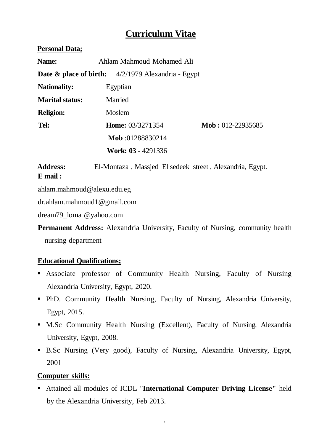# **Curriculum Vitae**

### **Personal Data;**

| <b>Name:</b>           | Ahlam Mahmoud Mohamed Ali                                       |                                |  |  |  |  |
|------------------------|-----------------------------------------------------------------|--------------------------------|--|--|--|--|
|                        | <b>Date &amp; place of birth:</b> $4/2/1979$ Alexandria - Egypt |                                |  |  |  |  |
| <b>Nationality:</b>    | Egyptian                                                        |                                |  |  |  |  |
| <b>Marital status:</b> | Married                                                         |                                |  |  |  |  |
| <b>Religion:</b>       | Moslem                                                          |                                |  |  |  |  |
| Tel:                   | <b>Home:</b> 03/3271354                                         | $\textbf{Mob}: 012 - 22935685$ |  |  |  |  |
|                        | Mob:01288830214                                                 |                                |  |  |  |  |
|                        | <b>Work: 03 - 4291336</b>                                       |                                |  |  |  |  |

**Address:** El-Montaza , Massjed El sedeek street , Alexandria, Egypt. **E mail :**

ahlam.mahmoud@alexu.edu.eg

dr.ahlam.mahmoud1@gmail.com

dream79\_loma @yahoo.com

**Permanent Address:** Alexandria University, Faculty of Nursing, community health nursing department

# **Educational Qualifications;**

- Associate professor of Community Health Nursing, Faculty of Nursing Alexandria University, Egypt, 2020.
- PhD. Community Health Nursing, Faculty of Nursing, Alexandria University, Egypt, 2015.
- M.Sc Community Health Nursing (Excellent), Faculty of Nursing, Alexandria University, Egypt, 2008.
- B.Sc Nursing (Very good), Faculty of Nursing, Alexandria University, Egypt, 2001

# **Computer skills:**

▪ Attained all modules of ICDL "**International Computer Driving License"** held by the Alexandria University, Feb 2013.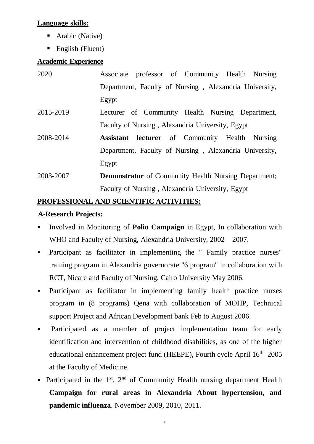### **Language skills:**

- Arabic (Native)
- $\blacksquare$  English (Fluent)

### **Academic Experience**

| 2020      | Associate professor of Community Health Nursing             |  |  |
|-----------|-------------------------------------------------------------|--|--|
|           | Department, Faculty of Nursing, Alexandria University,      |  |  |
|           | Egypt                                                       |  |  |
| 2015-2019 | Lecturer of Community Health Nursing Department,            |  |  |
|           | Faculty of Nursing, Alexandria University, Egypt            |  |  |
| 2008-2014 | <b>Assistant lecturer</b> of Community Health Nursing       |  |  |
|           | Department, Faculty of Nursing, Alexandria University,      |  |  |
|           | Egypt                                                       |  |  |
| 2003-2007 | <b>Demonstrator</b> of Community Health Nursing Department; |  |  |
|           | Faculty of Nursing, Alexandria University, Egypt            |  |  |

## **PROFESSIONAL AND SCIENTIFIC ACTIVITIES:**

## **A-Research Projects:**

- Involved in Monitoring of **Polio Campaign** in Egypt, In collaboration with WHO and Faculty of Nursing, Alexandria University, 2002 – 2007.
- Participant as facilitator in implementing the " Family practice nurses" training program in Alexandria governorate "6 program" in collaboration with RCT, Nicare and Faculty of Nursing, Cairo University May 2006.
- Participant as facilitator in implementing family health practice nurses program in (8 programs) Qena with collaboration of MOHP, Technical support Project and African Development bank Feb to August 2006.
- **•** Participated as a member of project implementation team for early identification and intervention of childhood disabilities, as one of the higher educational enhancement project fund (HEEPE), Fourth cycle April 16<sup>th</sup> 2005 at the Faculty of Medicine.
- **•** Participated in the  $1^{st}$ ,  $2^{nd}$  of Community Health nursing department Health **Campaign for rural areas in Alexandria About hypertension, and pandemic influenza**. November 2009, 2010, 2011.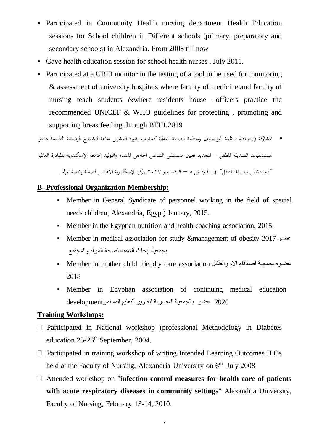- **•** Participated in Community Health nursing department Health Education sessions for School children in Different schools (primary, preparatory and secondary schools) in Alexandria. From 2008 till now
- Gave health education session for school health nurses . July 2011.
- Participated at a UBFI monitor in the testing of a tool to be used for monitoring & assessment of university hospitals where faculty of medicine and faculty of nursing teach students &where residents house –officers practice the recommended UNICEF & WHO guidelines for protecting , promoting and supporting breastfeeding through BFHI.2019

▪ املشاركة يف مبادرة منظمة اليونيسيف ومنظمة الصحة العاملية كمدرب بدورة العشرين ساعة لتشجيع الرضاعة الطبيعية داخل

املستشفيات الصديقة للطفل – لتجديد تعيني مستشفى الشاطىب اجلامعى للنساء والتوليد جبامعة اإلسكندرية باملبادرة العاملية

"كمستشفى صديقة للطفل" ىف الفرتة من 5 – 9 ديسمرب 2017 مبركز اإلسكندرية اإلقليمى لصحة وتنمية املرأة.

#### **B- Professional Organization Membership:**

- Member in General Syndicate of personnel working in the field of special needs children, Alexandria, Egypt) January, 2015.
- Member in the Egyptian nutrition and health coaching association, 2015.
- Member in medical association for study &management of obesity 2017 عضو بجمعية ابحاث السمنه لصحة المراه والمجتمع
- عضوه بجمعية اصدقاء الام والطفل Member in mother child friendly care association · 2018
- Member in Egyptian association of continuing medical education 2020 عض بالجمعية المصرية لتط ير التعليم المستمرdevelopment

#### **Training Workshops:**

- $\Box$  Participated in National workshop (professional Methodology in Diabetes education 25-26<sup>th</sup> September, 2004.
- $\Box$  Participated in training workshop of writing Intended Learning Outcomes ILOs held at the Faculty of Nursing, Alexandria University on  $6<sup>th</sup>$  July 2008
- Attended workshop on "**infection control measures for health care of patients with acute respiratory diseases in community settings**" Alexandria University, Faculty of Nursing, February 13-14, 2010.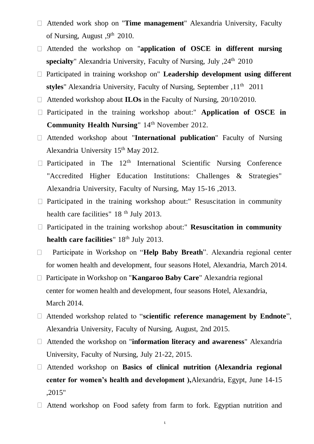- Attended work shop on "**Time management**" Alexandria University, Faculty of Nursing, August , 9<sup>th</sup> 2010.
- Attended the workshop on "**application of OSCE in different nursing specialty**" Alexandria University, Faculty of Nursing, July ,24th 2010
- Participated in training workshop on" **Leadership development using different styles**" Alexandria University, Faculty of Nursing, September ,11th 2011
- □ Attended workshop about **ILOs** in the Faculty of Nursing, 20/10/2010.
- Participated in the training workshop about:" **Application of OSCE in Community Health Nursing**" 14<sup>th</sup> November 2012.
- Attended workshop about "**International publication**" Faculty of Nursing Alexandria University 15<sup>th</sup> May 2012.
- $\Box$  Participated in The 12<sup>th</sup> International Scientific Nursing Conference "Accredited Higher Education Institutions: Challenges & Strategies" Alexandria University, Faculty of Nursing, May 15-16 ,2013.
- $\Box$  Participated in the training workshop about:" Resuscitation in community health care facilities" 18<sup>th</sup> July 2013.
- Participated in the training workshop about:" **Resuscitation in community**  health care facilities" 18<sup>th</sup> July 2013.
- Participate in Workshop on "**Help Baby Breath**". Alexandria regional center  $\Box$ for women health and development, four seasons Hotel, Alexandria, March 2014.
- Participate in Workshop on "**Kangaroo Baby Care**" Alexandria regional center for women health and development, four seasons Hotel, Alexandria, March 2014.
- Attended workshop related to "**scientific reference management by Endnote**", Alexandria University, Faculty of Nursing, August, 2nd 2015.
- Attended the workshop on "**information literacy and awareness**" Alexandria University, Faculty of Nursing, July 21-22, 2015.
- Attended workshop on **Basics of clinical nutrition (Alexandria regional center for women's health and development ),**Alexandria, Egypt, June 14-15 ,2015"
- $\Box$  Attend workshop on Food safety from farm to fork. Egyptian nutrition and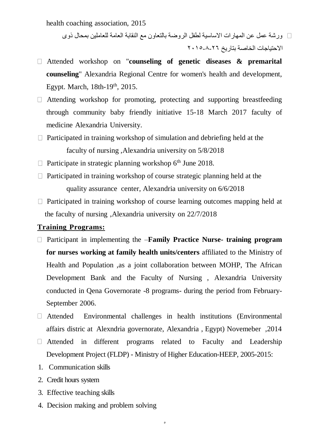health coaching association, 2015

ورشة عمل عن المهارات الاساسية لطفل الروضة بالتعاون مع النقابة العامة للعاملين بمحال ذوى  $\Box$ االحتياجات الخاقة بتاريخ 2015-8-26

- Attended workshop on "**counseling of genetic diseases & premarital counseling**" Alexandria Regional Centre for women's health and development, Egypt. March,  $18th-19<sup>th</sup>$ ,  $2015$ .
- $\Box$  Attending workshop for promoting, protecting and supporting breastfeeding through community baby friendly initiative 15-18 March 2017 faculty of medicine Alexandria University.
- $\Box$  Participated in training workshop of simulation and debriefing held at the faculty of nursing ,Alexandria university on 5/8/2018
- $\Box$  Participate in strategic planning workshop 6<sup>th</sup> June 2018.
- $\Box$  Participated in training workshop of course strategic planning held at the quality assurance center, Alexandria university on 6/6/2018
- $\Box$  Participated in training workshop of course learning outcomes mapping held at the faculty of nursing ,Alexandria university on 22/7/2018

#### **Training Programs:**

- □ Participant in implementing the –**Family Practice Nurse-** training program **for nurses working at family health units/centers** affiliated to the Ministry of Health and Population ,as a joint collaboration between MOHP, The African Development Bank and the Faculty of Nursing , Alexandria University conducted in Qena Governorate -8 programs- during the period from February-September 2006.
- Attended Environmental challenges in health institutions (Environmental affairs distric at Alexndria governorate, Alexandria , Egypt) Novemeber ,2014
- Attended in different programs related to Faculty and Leadership Development Project (FLDP) - Ministry of Higher Education-HEEP, 2005-2015:

 $\circ$ 

- 1. Communication skills
- 2. Credit hours system
- 3. Effective teaching skills
- 4. Decision making and problem solving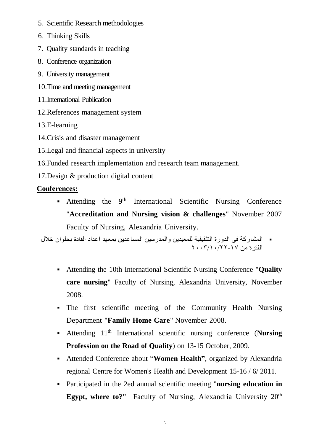- 5. Scientific Research methodologies
- 6. Thinking Skills
- 7. Quality standards in teaching
- 8. Conference organization
- 9. University management
- 10.Time and meeting management
- 11.International Publication
- 12.References management system
- 13.E-learning
- 14.Crisis and disaster management
- 15.Legal and financial aspects in university
- 16.Funded research implementation and research team management.
- 17.Design & production digital content

#### **Conferences:**

**•** Attending the 9<sup>th</sup> International Scientific Nursing Conference "**Accreditation and Nursing vision & challenges**" November 2007 Faculty of Nursing, Alexandria University.

■ المشاركة في الدورة التثقيفية للمعيدين والمدرسين المساعدين بمعهد اعداد القادة بحلوان خلال الفترة من 2003/10/22-17

- Attending the 10th International Scientific Nursing Conference "**Quality care nursing**" Faculty of Nursing, Alexandria University, November 2008.
- The first scientific meeting of the Community Health Nursing Department "**Family Home Care**" November 2008.
- Attending 11th International scientific nursing conference (**Nursing Profession on the Road of Quality**) on 13-15 October, 2009.
- Attended Conference about "**Women Health"**, organized by Alexandria regional Centre for Women's Health and Development 15-16 / 6/ 2011.
- Participated in the 2ed annual scientific meeting "**nursing education in**  Egypt, where to?" Faculty of Nursing, Alexandria University 20<sup>th</sup>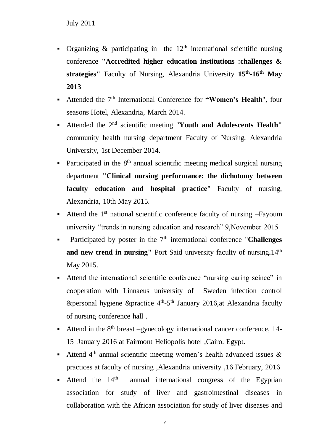- **•** Organizing  $\&$  participating in the 12<sup>th</sup> international scientific nursing conference **"Accredited higher education institutions :challenges & strategies"** Faculty of Nursing, Alexandria University **15th -16th May 2013**
- Attended the 7th International Conference for **"Women's Health**", four seasons Hotel, Alexandria, March 2014.
- Attended the 2nd scientific meeting "**Youth and Adolescents Health"** community health nursing department Faculty of Nursing, Alexandria University, 1st December 2014.
- **•** Participated in the  $8<sup>th</sup>$  annual scientific meeting medical surgical nursing department **"Clinical nursing performance: the dichotomy between faculty education and hospital practice**" Faculty of nursing, Alexandria, 10th May 2015.
- **•** Attend the  $1<sup>st</sup>$  national scientific conference faculty of nursing  $-$ Fayoum university "trends in nursing education and research" 9,November 2015
- **•** Participated by poster in the 7<sup>th</sup> international conference "**Challenges and new trend in nursing"** Port Said university faculty of nursing**.**14th May 2015.
- Attend the international scientific conference "nursing caring scince" in cooperation with Linnaeus university of Sweden infection control &personal hygiene &practice  $4<sup>th</sup> - 5<sup>th</sup>$  January 2016,at Alexandria faculty of nursing conference hall .
- **•** Attend in the  $8<sup>th</sup>$  breast –gynecology international cancer conference, 14-15 January 2016 at Fairmont Heliopolis hotel ,Cairo. Egypt**.**
- **•** Attend  $4<sup>th</sup>$  annual scientific meeting women's health advanced issues  $\&$ practices at faculty of nursing ,Alexandria university ,16 February, 2016
- **•** Attend the  $14<sup>th</sup>$  annual international congress of the Egyptian association for study of liver and gastrointestinal diseases in collaboration with the African association for study of liver diseases and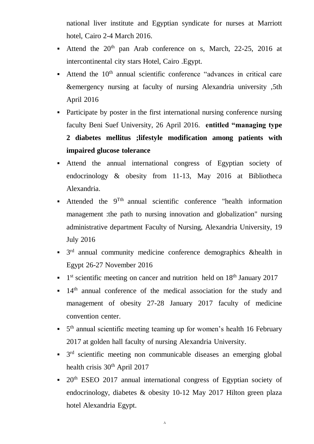national liver institute and Egyptian syndicate for nurses at Marriott hotel, Cairo 2-4 March 2016.

- **•** Attend the  $20<sup>th</sup>$  pan Arab conference on s, March, 22-25, 2016 at intercontinental city stars Hotel, Cairo .Egypt.
- Attend the  $10<sup>th</sup>$  annual scientific conference "advances in critical care &emergency nursing at faculty of nursing Alexandria university ,5th April 2016
- Participate by poster in the first international nursing conference nursing faculty Beni Suef University, 26 April 2016. **entitled "managing type 2 diabetes mellitus ;lifestyle modification among patients with impaired glucose tolerance**
- Attend the annual international congress of Egyptian society of endocrinology & obesity from 11-13, May 2016 at Bibliotheca Alexandria.
- **•** Attended the  $9^{Tth}$  annual scientific conference "health information management :the path to nursing innovation and globalization" nursing administrative department Faculty of Nursing, Alexandria University, 19 July 2016
- $\bullet$  3<sup>rd</sup> annual community medicine conference demographics &health in Egypt 26-27 November 2016
- $\blacksquare$  1<sup>st</sup> scientific meeting on cancer and nutrition held on 18<sup>th</sup> January 2017
- $\blacksquare$  14<sup>th</sup> annual conference of the medical association for the study and management of obesity 27-28 January 2017 faculty of medicine convention center.
- 5<sup>th</sup> annual scientific meeting teaming up for women's health 16 February 2017 at golden hall faculty of nursing Alexandria University.
- $\bullet$  3<sup>rd</sup> scientific meeting non communicable diseases an emerging global health crisis  $30<sup>th</sup>$  April 2017
- $\bullet$  20<sup>th</sup> ESEO 2017 annual international congress of Egyptian society of endocrinology, diabetes & obesity 10-12 May 2017 Hilton green plaza hotel Alexandria Egypt.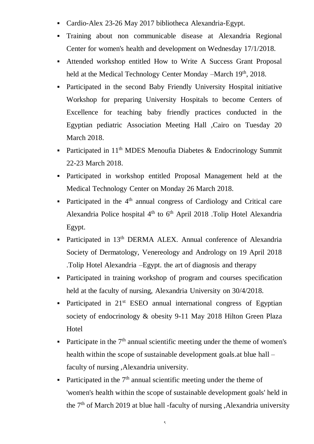- Cardio-Alex 23-26 May 2017 bibliotheca Alexandria-Egypt.
- Training about non communicable disease at Alexandria Regional Center for women's health and development on Wednesday 17/1/2018.
- Attended workshop entitled How to Write A Success Grant Proposal held at the Medical Technology Center Monday –March 19<sup>th</sup>, 2018.
- Participated in the second Baby Friendly University Hospital initiative Workshop for preparing University Hospitals to become Centers of Excellence for teaching baby friendly practices conducted in the Egyptian pediatric Association Meeting Hall ,Cairo on Tuesday 20 March 2018.
- **•** Participated in  $11<sup>th</sup>$  MDES Menoufia Diabetes & Endocrinology Summit 22-23 March 2018.
- Participated in workshop entitled Proposal Management held at the Medical Technology Center on Monday 26 March 2018.
- Participated in the 4<sup>th</sup> annual congress of Cardiology and Critical care Alexandria Police hospital  $4<sup>th</sup>$  to  $6<sup>th</sup>$  April 2018 .Tolip Hotel Alexandria Egypt.
- Participated in 13<sup>th</sup> DERMA ALEX. Annual conference of Alexandria Society of Dermatology, Venereology and Andrology on 19 April 2018 .Tolip Hotel Alexandria –Egypt. the art of diagnosis and therapy
- Participated in training workshop of program and courses specification held at the faculty of nursing, Alexandria University on 30/4/2018.
- Participated in  $21<sup>st</sup>$  ESEO annual international congress of Egyptian society of endocrinology & obesity 9-11 May 2018 Hilton Green Plaza Hotel
- **•** Participate in the  $7<sup>th</sup>$  annual scientific meeting under the theme of women's health within the scope of sustainable development goals.at blue hall – faculty of nursing ,Alexandria university.
- **•** Participated in the  $7<sup>th</sup>$  annual scientific meeting under the theme of 'women's health within the scope of sustainable development goals' held in the  $7<sup>th</sup>$  of March 2019 at blue hall -faculty of nursing , Alexandria university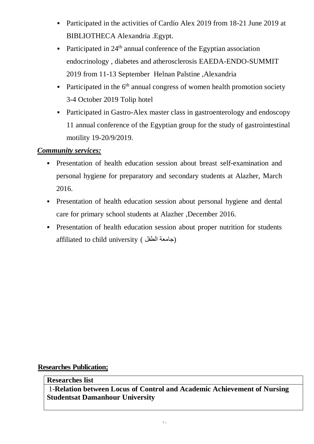- Participated in the activities of Cardio Alex 2019 from 18-21 June 2019 at BIBLIOTHECA Alexandria .Egypt.
- **•** Participated in  $24<sup>th</sup>$  annual conference of the Egyptian association endocrinology , diabetes and atherosclerosis EAEDA-ENDO-SUMMIT 2019 from 11-13 September Helnan Palstine ,Alexandria
- **Participated in the**  $6<sup>th</sup>$  **annual congress of women health promotion society** 3-4 October 2019 Tolip hotel
- Participated in Gastro-Alex master class in gastroenterology and endoscopy 11 annual conference of the Egyptian group for the study of gastrointestinal motility 19-20/9/2019.

# *Community services:*

- **•** Presentation of health education session about breast self-examination and personal hygiene for preparatory and secondary students at Alazher, March 2016.
- **•** Presentation of health education session about personal hygiene and dental care for primary school students at Alazher ,December 2016.
- **•** Presentation of health education session about proper nutrition for students affiliated to child university (جامعة الطفل)

#### **Researches Publication;**

#### **Researches list**

1-**Relation between Locus of Control and Academic Achievement of Nursing Studentsat Damanhour University**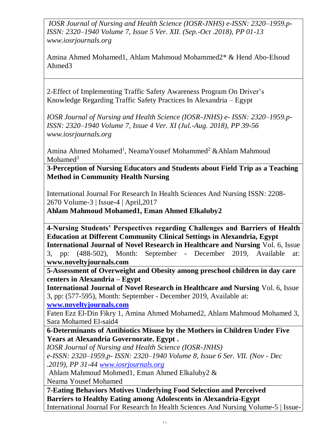*IOSR Journal of Nursing and Health Science (IOSR-JNHS) e-ISSN: 2320–1959.p-ISSN: 2320–1940 Volume 7, Issue 5 Ver. XII. (Sep.-Oct .2018), PP 01-13 www.iosrjournals.org*

Amina Ahmed Mohamed1, Ahlam Mahmoud Mohammed2\* & Hend Abo-Elsoud Ahmed3

2-Effect of Implementing Traffic Safety Awareness Program On Driver's Knowledge Regarding Traffic Safety Practices In Alexandria – Egypt

*IOSR Journal of Nursing and Health Science (IOSR-JNHS) e- ISSN: 2320–1959.p-ISSN: 2320–1940 Volume 7, Issue 4 Ver. XI (Jul.-Aug. 2018), PP 39-56 www.iosrjournals.org*

Amina Ahmed Mohamed<sup>1</sup>, NeamaYousef Mohammed<sup>2</sup> & Ahlam Mahmoud Mohamed $3$ 

**3-Perception of Nursing Educators and Students about Field Trip as a Teaching Method in Community Health Nursing** 

International Journal For Research In Health Sciences And Nursing ISSN: 2208- 2670 Volume-3 | Issue-4 | April,2017

**Ahlam Mahmoud Mohamed1, Eman Ahmed Elkaluby2**

**4-Nursing Students' Perspectives regarding Challenges and Barriers of Health Education at Different Community Clinical Settings in Alexandria, Egypt International Journal of Novel Research in Healthcare and Nursing** Vol. 6, Issue 3, pp: (488-502), Month: September - December 2019, Available at: **www.noveltyjournals.com**

**5-Assessment of Overweight and Obesity among preschool children in day care centers in Alexandria – Egypt**

**International Journal of Novel Research in Healthcare and Nursing** Vol. 6, Issue 3, pp: (577-595), Month: September - December 2019, Available at:

**[www.noveltyjournals.com](http://www.noveltyjournals.com/)**

Faten Ezz El-Din Fikry 1, Amina Ahmed Mohamed2, Ahlam Mahmoud Mohamed 3, Sara Mohamed El-said4

**6-Determinants of Antibiotics Misuse by the Mothers in Children Under Five Years at Alexandria Governorate. Egypt .**

*IOSR Journal of Nursing and Health Science (IOSR-JNHS)*

*e-ISSN: 2320–1959.p- ISSN: 2320–1940 Volume 8, Issue 6 Ser. VII. (Nov - Dec .2019), PP 31-44 [www.iosrjournals.org](http://www.iosrjournals.org/)*

Ahlam Mahmoud Mohmed1, Eman Ahmed Elkaluby2 &

Neama Yousef Mohamed

**7-Eating Behaviors Motives Underlying Food Selection and Perceived Barriers to Healthy Eating among Adolescents in Alexandria-Egypt** International Journal For Research In Health Sciences And Nursing Volume-5 | Issue-1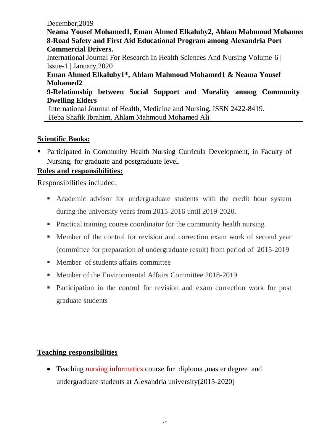December,2019

Neama Yousef Mohamed1, Eman Ahmed Elkaluby2, Ahlam Mahmoud Mohamed **8-Road Safety and First Aid Educational Program among Alexandria Port Commercial Drivers.** International Journal For Research In Health Sciences And Nursing Volume-6 | Issue-1 | January,2020 **Eman Ahmed Elkaluby1\*, Ahlam Mahmoud Mohamed1 & Neama Yousef Mohamed2 9-Relationship between Social Support and Morality among Community Dwelling Elders**

International Journal of Health, Medicine and Nursing, ISSN 2422-8419. Heba Shafik Ibrahim, Ahlam Mahmoud Mohamed Ali

# **Scientific Books:**

■ Participated in Community Health Nursing Curricula Development, in Faculty of Nursing, for graduate and postgraduate level.

# **Roles and responsibilities:**

Responsibilities included:

- **Exercise 1** Academic advisor for undergraduate students with the credit hour system during the university years from 2015-2016 until 2019-2020.
- Practical training course coordinator for the community health nursing
- Member of the control for revision and correction exam work of second year (committee for preparation of undergraduate result) from period of 2015-2019
- Member of students affairs committee
- Member of the Environmental Affairs Committee 2018-2019
- Participation in the control for revision and exam correction work for post graduate students

## **Teaching responsibilities**

• Teaching nursing informatics course for diploma , master degree and undergraduate students at Alexandria university(2015-2020)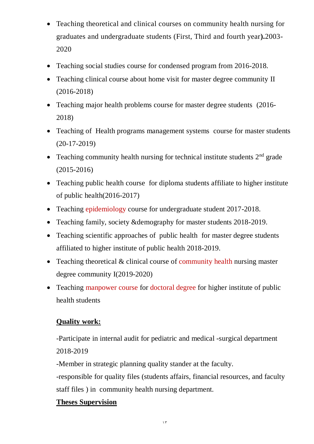- Teaching theoretical and clinical courses on community health nursing for graduates and undergraduate students (First, Third and fourth year**).**2003- 2020
- Teaching social studies course for condensed program from 2016-2018.
- Teaching clinical course about home visit for master degree community II (2016-2018)
- Teaching major health problems course for master degree students (2016-2018)
- Teaching of Health programs management systems course for master students (20-17-2019)
- Teaching community health nursing for technical institute students  $2<sup>nd</sup>$  grade (2015-2016)
- Teaching public health course for diploma students affiliate to higher institute of public health(2016-2017)
- Teaching epidemiology course for undergraduate student 2017-2018.
- Teaching family, society &demography for master students 2018-2019.
- Teaching scientific approaches of public health for master degree students affiliated to higher institute of public health 2018-2019.
- Teaching theoretical & clinical course of community health nursing master degree community I(2019-2020)
- Teaching manpower course for doctoral degree for higher institute of public health students

# **Quality work:**

-Participate in internal audit for pediatric and medical -surgical department 2018-2019

-Member in strategic planning quality stander at the faculty.

-responsible for quality files (students affairs, financial resources, and faculty staff files ) in community health nursing department.

## **Theses Supervision**